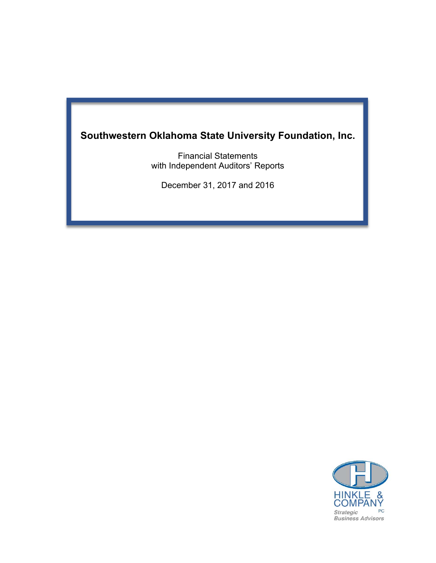# **Southwestern Oklahoma State University Foundation, Inc.**

Financial Statements with Independent Auditors' Reports

December 31, 2017 and 2016

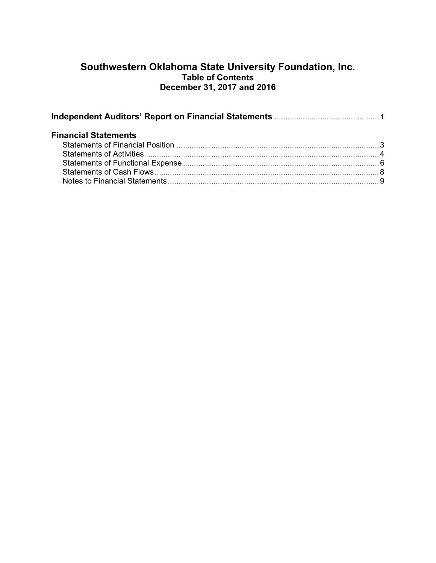# **Southwestern Oklahoma State University Foundation, Inc. Table of Contents December 31, 2017 and 2016**

| <b>Financial Statements</b> |  |
|-----------------------------|--|
|                             |  |
|                             |  |
|                             |  |
|                             |  |
|                             |  |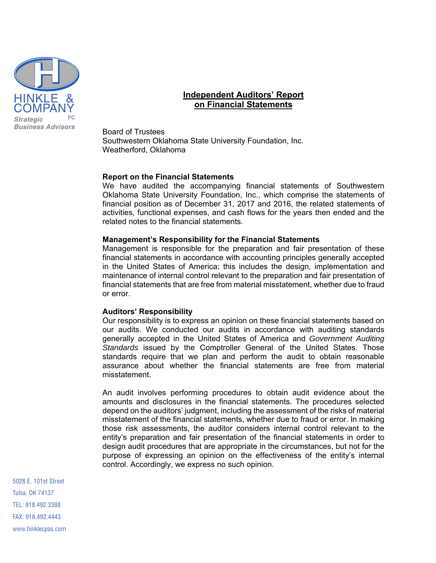

# **Independent Auditors' Report on Financial Statements**

Board of Trustees Southwestern Oklahoma State University Foundation, Inc. Weatherford, Oklahoma

#### **Report on the Financial Statements**

We have audited the accompanying financial statements of Southwestern Oklahoma State University Foundation, Inc., which comprise the statements of financial position as of December 31, 2017 and 2016, the related statements of activities, functional expenses, and cash flows for the years then ended and the related notes to the financial statements.

#### **Management's Responsibility for the Financial Statements**

Management is responsible for the preparation and fair presentation of these financial statements in accordance with accounting principles generally accepted in the United States of America; this includes the design, implementation and maintenance of internal control relevant to the preparation and fair presentation of financial statements that are free from material misstatement, whether due to fraud or error.

#### **Auditors' Responsibility**

Our responsibility is to express an opinion on these financial statements based on our audits. We conducted our audits in accordance with auditing standards generally accepted in the United States of America and *Government Auditing Standards* issued by the Comptroller General of the United States. Those standards require that we plan and perform the audit to obtain reasonable assurance about whether the financial statements are free from material misstatement.

An audit involves performing procedures to obtain audit evidence about the amounts and disclosures in the financial statements. The procedures selected depend on the auditors' judgment, including the assessment of the risks of material misstatement of the financial statements, whether due to fraud or error. In making those risk assessments, the auditor considers internal control relevant to the entity's preparation and fair presentation of the financial statements in order to design audit procedures that are appropriate in the circumstances, but not for the purpose of expressing an opinion on the effectiveness of the entity's internal control. Accordingly, we express no such opinion.

5028 E. 101st Street Tulsa, OK 74137 TEL: 918.492.3388 FAX: 918.492.4443 www.hinklecpas.com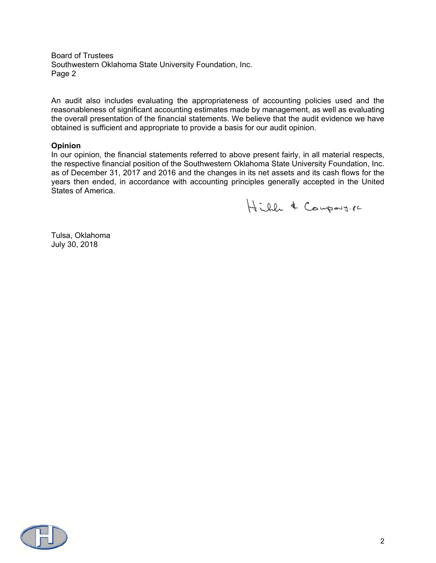Board of Trustees Southwestern Oklahoma State University Foundation, Inc. Page 2

An audit also includes evaluating the appropriateness of accounting policies used and the reasonableness of significant accounting estimates made by management, as well as evaluating the overall presentation of the financial statements. We believe that the audit evidence we have obtained is sufficient and appropriate to provide a basis for our audit opinion.

#### **Opinion**

In our opinion, the financial statements referred to above present fairly, in all material respects, the respective financial position of the Southwestern Oklahoma State University Foundation, Inc. as of December 31, 2017 and 2016 and the changes in its net assets and its cash flows for the years then ended, in accordance with accounting principles generally accepted in the United States of America.

Hill & Company. PC

Tulsa, Oklahoma July 30, 2018

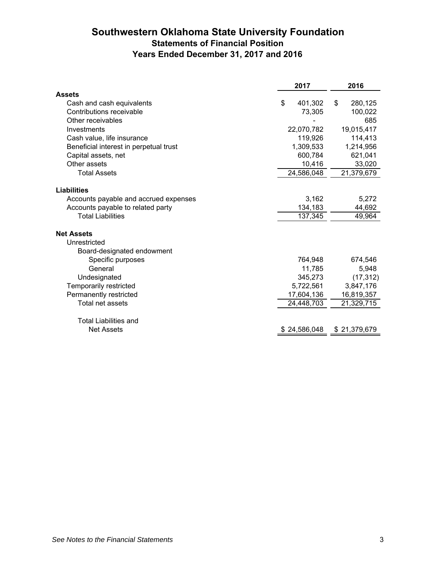# **Southwestern Oklahoma State University Foundation Statements of Financial Position Years Ended December 31, 2017 and 2016**

|                                        | 2017          | 2016          |
|----------------------------------------|---------------|---------------|
| <b>Assets</b>                          |               |               |
| Cash and cash equivalents              | \$<br>401,302 | 280,125<br>\$ |
| Contributions receivable               | 73,305        | 100,022       |
| Other receivables                      |               | 685           |
| Investments                            | 22,070,782    | 19,015,417    |
| Cash value, life insurance             | 119,926       | 114,413       |
| Beneficial interest in perpetual trust | 1,309,533     | 1,214,956     |
| Capital assets, net                    | 600,784       | 621,041       |
| Other assets                           | 10,416        | 33,020        |
| <b>Total Assets</b>                    | 24,586,048    | 21,379,679    |
| <b>Liabilities</b>                     |               |               |
| Accounts payable and accrued expenses  | 3,162         | 5,272         |
| Accounts payable to related party      | 134,183       | 44,692        |
| <b>Total Liabilities</b>               | 137,345       | 49,964        |
|                                        |               |               |
| <b>Net Assets</b>                      |               |               |
| Unrestricted                           |               |               |
| Board-designated endowment             |               |               |
| Specific purposes                      | 764,948       | 674,546       |
| General                                | 11,785        | 5,948         |
| Undesignated                           | 345,273       | (17, 312)     |
| Temporarily restricted                 | 5,722,561     | 3,847,176     |
| Permanently restricted                 | 17,604,136    | 16,819,357    |
| Total net assets                       | 24,448,703    | 21,329,715    |
| <b>Total Liabilities and</b>           |               |               |
| <b>Net Assets</b>                      | \$24,586,048  | \$21,379,679  |
|                                        |               |               |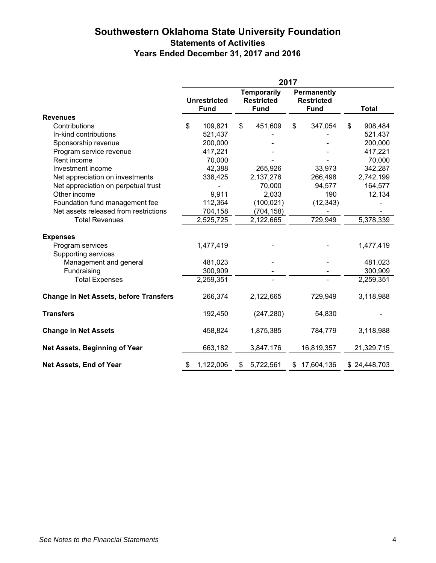# **Southwestern Oklahoma State University Foundation Statements of Activities Years Ended December 31, 2017 and 2016**

|                                               | 2017 |                     |    |                                         |    |                                  |    |              |
|-----------------------------------------------|------|---------------------|----|-----------------------------------------|----|----------------------------------|----|--------------|
|                                               |      | <b>Unrestricted</b> |    | <b>Temporarily</b><br><b>Restricted</b> |    | Permanently<br><b>Restricted</b> |    |              |
|                                               |      | <b>Fund</b>         |    | <b>Fund</b>                             |    | <b>Fund</b>                      |    | <b>Total</b> |
| <b>Revenues</b>                               |      |                     |    |                                         |    |                                  |    |              |
| Contributions                                 | \$   | 109,821             | \$ | 451,609                                 | \$ | 347,054                          | \$ | 908,484      |
| In-kind contributions                         |      | 521,437             |    |                                         |    |                                  |    | 521,437      |
| Sponsorship revenue                           |      | 200,000             |    |                                         |    |                                  |    | 200,000      |
| Program service revenue                       |      | 417,221             |    |                                         |    |                                  |    | 417,221      |
| Rent income                                   |      | 70,000              |    |                                         |    |                                  |    | 70,000       |
| Investment income                             |      | 42,388              |    | 265,926                                 |    | 33,973                           |    | 342,287      |
| Net appreciation on investments               |      | 338,425             |    | 2,137,276                               |    | 266,498                          |    | 2,742,199    |
| Net appreciation on perpetual trust           |      |                     |    | 70,000                                  |    | 94,577                           |    | 164,577      |
| Other income                                  |      | 9,911               |    | 2,033                                   |    | 190                              |    | 12,134       |
| Foundation fund management fee                |      | 112,364             |    | (100, 021)                              |    | (12, 343)                        |    |              |
| Net assets released from restrictions         |      | 704,158             |    | (704, 158)                              |    |                                  |    |              |
| <b>Total Revenues</b>                         |      | 2,525,725           |    | 2,122,665                               |    | 729,949                          |    | 5,378,339    |
| <b>Expenses</b>                               |      |                     |    |                                         |    |                                  |    |              |
| Program services                              |      | 1,477,419           |    |                                         |    |                                  |    | 1,477,419    |
| Supporting services                           |      |                     |    |                                         |    |                                  |    |              |
| Management and general                        |      | 481,023             |    |                                         |    |                                  |    | 481,023      |
| Fundraising                                   |      | 300,909             |    |                                         |    |                                  |    | 300,909      |
| <b>Total Expenses</b>                         |      | 2,259,351           |    |                                         |    | $\blacksquare$                   |    | 2,259,351    |
|                                               |      |                     |    |                                         |    |                                  |    |              |
| <b>Change in Net Assets, before Transfers</b> |      | 266,374             |    | 2,122,665                               |    | 729,949                          |    | 3,118,988    |
| <b>Transfers</b>                              |      | 192,450             |    | (247, 280)                              |    | 54,830                           |    |              |
| <b>Change in Net Assets</b>                   |      | 458,824             |    | 1,875,385                               |    | 784,779                          |    | 3,118,988    |
| Net Assets, Beginning of Year                 |      | 663,182             |    | 3,847,176                               |    | 16,819,357                       |    | 21,329,715   |
| Net Assets, End of Year                       | \$   | 1,122,006           | \$ | 5,722,561                               |    | \$17,604,136                     |    | \$24,448,703 |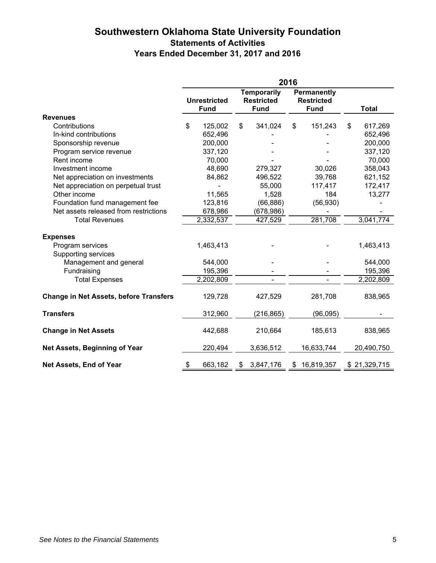# **Southwestern Oklahoma State University Foundation Statements of Activities Years Ended December 31, 2017 and 2016**

|                                               | 2016                |             |                                         |             |                                  |                          |    |              |
|-----------------------------------------------|---------------------|-------------|-----------------------------------------|-------------|----------------------------------|--------------------------|----|--------------|
|                                               | <b>Unrestricted</b> |             | <b>Temporarily</b><br><b>Restricted</b> |             | Permanently<br><b>Restricted</b> |                          |    |              |
|                                               |                     | <b>Fund</b> |                                         | <b>Fund</b> |                                  | <b>Fund</b>              |    | <b>Total</b> |
| <b>Revenues</b>                               |                     |             |                                         |             |                                  |                          |    |              |
| Contributions                                 | \$                  | 125,002     | \$                                      | 341,024     | \$                               | 151,243                  | \$ | 617,269      |
| In-kind contributions                         |                     | 652,496     |                                         |             |                                  |                          |    | 652,496      |
| Sponsorship revenue                           |                     | 200,000     |                                         |             |                                  |                          |    | 200,000      |
| Program service revenue                       |                     | 337,120     |                                         |             |                                  |                          |    | 337,120      |
| Rent income                                   |                     | 70,000      |                                         |             |                                  |                          |    | 70,000       |
| Investment income                             |                     | 48,690      |                                         | 279,327     |                                  | 30,026                   |    | 358,043      |
| Net appreciation on investments               |                     | 84,862      |                                         | 496,522     |                                  | 39,768                   |    | 621,152      |
| Net appreciation on perpetual trust           |                     |             |                                         | 55,000      |                                  | 117,417                  |    | 172,417      |
| Other income                                  |                     | 11,565      |                                         | 1,528       |                                  | 184                      |    | 13,277       |
| Foundation fund management fee                |                     | 123,816     |                                         | (66, 886)   |                                  | (56, 930)                |    |              |
| Net assets released from restrictions         |                     | 678,986     |                                         | (678,986)   |                                  |                          |    |              |
| <b>Total Revenues</b>                         |                     | 2,332,537   |                                         | 427,529     |                                  | 281,708                  |    | 3,041,774    |
| <b>Expenses</b>                               |                     |             |                                         |             |                                  |                          |    |              |
| Program services                              |                     | 1,463,413   |                                         |             |                                  |                          |    | 1,463,413    |
| Supporting services                           |                     |             |                                         |             |                                  |                          |    |              |
| Management and general                        |                     | 544,000     |                                         |             |                                  |                          |    | 544,000      |
| Fundraising                                   |                     | 195,396     |                                         |             |                                  |                          |    | 195,396      |
| <b>Total Expenses</b>                         |                     | 2,202,809   |                                         |             |                                  | $\overline{\phantom{0}}$ |    | 2,202,809    |
| <b>Change in Net Assets, before Transfers</b> |                     | 129,728     |                                         | 427,529     |                                  | 281,708                  |    | 838,965      |
| <b>Transfers</b>                              |                     | 312,960     |                                         | (216, 865)  |                                  | (96, 095)                |    |              |
| <b>Change in Net Assets</b>                   |                     | 442,688     |                                         | 210,664     |                                  | 185,613                  |    | 838,965      |
| Net Assets, Beginning of Year                 |                     | 220,494     |                                         | 3,636,512   |                                  | 16,633,744               |    | 20,490,750   |
| Net Assets, End of Year                       | \$                  | 663,182     | \$                                      | 3,847,176   |                                  | \$16,819,357             |    | \$21,329,715 |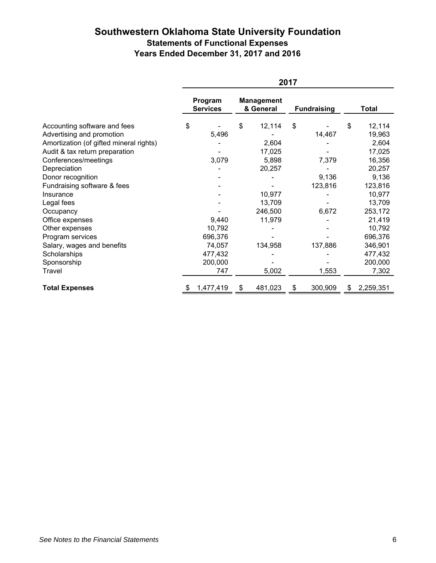# **Southwestern Oklahoma State University Foundation Statements of Functional Expenses Years Ended December 31, 2017 and 2016**

|                                         | 2017 |                            |    |                                |    |                    |    |           |
|-----------------------------------------|------|----------------------------|----|--------------------------------|----|--------------------|----|-----------|
|                                         |      | Program<br><b>Services</b> |    | <b>Management</b><br>& General |    | <b>Fundraising</b> |    | Total     |
| Accounting software and fees            | \$   |                            | \$ | 12,114                         | \$ |                    | \$ | 12,114    |
| Advertising and promotion               |      | 5,496                      |    |                                |    | 14,467             |    | 19,963    |
| Amortization (of gifted mineral rights) |      |                            |    | 2,604                          |    |                    |    | 2,604     |
| Audit & tax return preparation          |      |                            |    | 17,025                         |    |                    |    | 17,025    |
| Conferences/meetings                    |      | 3,079                      |    | 5,898                          |    | 7,379              |    | 16,356    |
| Depreciation                            |      |                            |    | 20,257                         |    |                    |    | 20,257    |
| Donor recognition                       |      |                            |    |                                |    | 9,136              |    | 9,136     |
| Fundraising software & fees             |      |                            |    |                                |    | 123,816            |    | 123,816   |
| Insurance                               |      |                            |    | 10,977                         |    |                    |    | 10,977    |
| Legal fees                              |      |                            |    | 13,709                         |    |                    |    | 13,709    |
| Occupancy                               |      |                            |    | 246,500                        |    | 6,672              |    | 253,172   |
| Office expenses                         |      | 9,440                      |    | 11,979                         |    |                    |    | 21,419    |
| Other expenses                          |      | 10,792                     |    |                                |    |                    |    | 10,792    |
| Program services                        |      | 696,376                    |    |                                |    |                    |    | 696,376   |
| Salary, wages and benefits              |      | 74,057                     |    | 134,958                        |    | 137,886            |    | 346,901   |
| Scholarships                            |      | 477,432                    |    |                                |    |                    |    | 477,432   |
| Sponsorship                             |      | 200,000                    |    |                                |    |                    |    | 200,000   |
| Travel                                  |      | 747                        |    | 5,002                          |    | 1,553              |    | 7,302     |
| <b>Total Expenses</b>                   | \$   | 1,477,419                  | \$ | 481,023                        | \$ | 300,909            | \$ | 2,259,351 |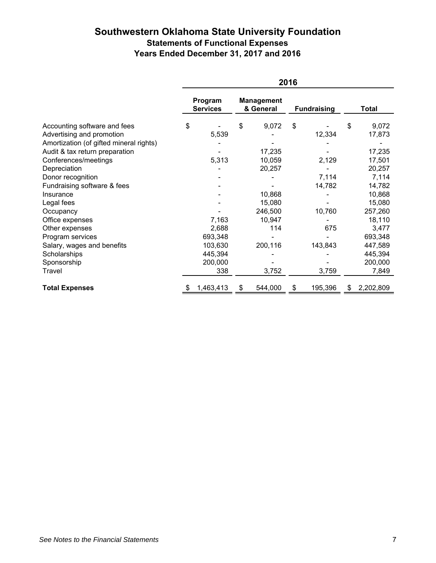# **Southwestern Oklahoma State University Foundation Statements of Functional Expenses Years Ended December 31, 2017 and 2016**

|                                         | 2016 |                            |    |                                |    |                    |    |           |
|-----------------------------------------|------|----------------------------|----|--------------------------------|----|--------------------|----|-----------|
|                                         |      | Program<br><b>Services</b> |    | <b>Management</b><br>& General |    | <b>Fundraising</b> |    | Total     |
| Accounting software and fees            | \$   |                            | \$ | 9,072                          | \$ |                    | \$ | 9,072     |
| Advertising and promotion               |      | 5,539                      |    |                                |    | 12,334             |    | 17,873    |
| Amortization (of gifted mineral rights) |      |                            |    |                                |    |                    |    |           |
| Audit & tax return preparation          |      |                            |    | 17,235                         |    |                    |    | 17,235    |
| Conferences/meetings                    |      | 5,313                      |    | 10,059                         |    | 2,129              |    | 17,501    |
| Depreciation                            |      |                            |    | 20,257                         |    |                    |    | 20,257    |
| Donor recognition                       |      |                            |    |                                |    | 7,114              |    | 7,114     |
| Fundraising software & fees             |      |                            |    |                                |    | 14,782             |    | 14,782    |
| Insurance                               |      |                            |    | 10,868                         |    |                    |    | 10,868    |
| Legal fees                              |      |                            |    | 15,080                         |    |                    |    | 15,080    |
| Occupancy                               |      |                            |    | 246,500                        |    | 10,760             |    | 257,260   |
| Office expenses                         |      | 7,163                      |    | 10,947                         |    |                    |    | 18,110    |
| Other expenses                          |      | 2,688                      |    | 114                            |    | 675                |    | 3,477     |
| Program services                        |      | 693,348                    |    |                                |    |                    |    | 693,348   |
| Salary, wages and benefits              |      | 103,630                    |    | 200,116                        |    | 143,843            |    | 447,589   |
| Scholarships                            |      | 445,394                    |    |                                |    |                    |    | 445,394   |
| Sponsorship                             |      | 200,000                    |    |                                |    |                    |    | 200,000   |
| Travel                                  |      | 338                        |    | 3,752                          |    | 3,759              |    | 7,849     |
| <b>Total Expenses</b>                   | \$   | 1,463,413                  | \$ | 544,000                        | \$ | 195,396            | \$ | 2,202,809 |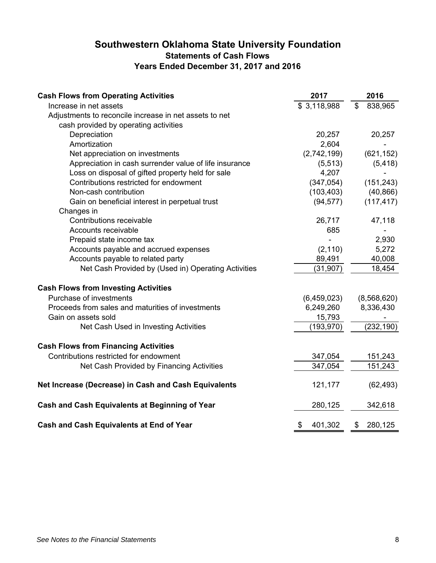# **Southwestern Oklahoma State University Foundation Statements of Cash Flows Years Ended December 31, 2017 and 2016**

| <b>Cash Flows from Operating Activities</b>            | 2017          | 2016          |
|--------------------------------------------------------|---------------|---------------|
| Increase in net assets                                 | \$3,118,988   | \$<br>838,965 |
| Adjustments to reconcile increase in net assets to net |               |               |
| cash provided by operating activities                  |               |               |
| Depreciation                                           | 20,257        | 20,257        |
| Amortization                                           | 2,604         |               |
| Net appreciation on investments                        | (2,742,199)   | (621, 152)    |
| Appreciation in cash surrender value of life insurance | (5, 513)      | (5, 418)      |
| Loss on disposal of gifted property held for sale      | 4,207         |               |
| Contributions restricted for endowment                 | (347, 054)    | (151, 243)    |
| Non-cash contribution                                  | (103, 403)    | (40, 866)     |
| Gain on beneficial interest in perpetual trust         | (94, 577)     | (117, 417)    |
| Changes in                                             |               |               |
| Contributions receivable                               | 26,717        | 47,118        |
| Accounts receivable                                    | 685           |               |
| Prepaid state income tax                               |               | 2,930         |
| Accounts payable and accrued expenses                  | (2, 110)      | 5,272         |
| Accounts payable to related party                      | 89,491        | 40,008        |
| Net Cash Provided by (Used in) Operating Activities    | (31, 907)     | 18,454        |
| <b>Cash Flows from Investing Activities</b>            |               |               |
| Purchase of investments                                | (6,459,023)   | (8,568,620)   |
| Proceeds from sales and maturities of investments      | 6,249,260     | 8,336,430     |
| Gain on assets sold                                    | 15,793        |               |
| Net Cash Used in Investing Activities                  | (193,970)     | (232, 190)    |
| <b>Cash Flows from Financing Activities</b>            |               |               |
| Contributions restricted for endowment                 | 347,054       | 151,243       |
| Net Cash Provided by Financing Activities              | 347,054       | 151,243       |
| Net Increase (Decrease) in Cash and Cash Equivalents   | 121,177       | (62, 493)     |
| Cash and Cash Equivalents at Beginning of Year         | 280,125       | 342,618       |
| Cash and Cash Equivalents at End of Year               | \$<br>401,302 | \$<br>280,125 |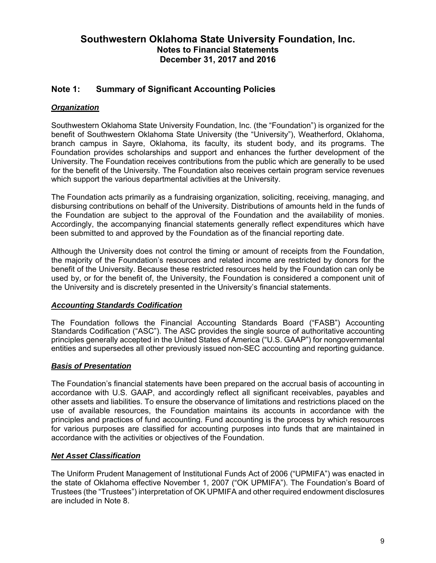# **Note 1: Summary of Significant Accounting Policies**

# *Organization*

Southwestern Oklahoma State University Foundation, Inc. (the "Foundation") is organized for the benefit of Southwestern Oklahoma State University (the "University"), Weatherford, Oklahoma, branch campus in Sayre, Oklahoma, its faculty, its student body, and its programs. The Foundation provides scholarships and support and enhances the further development of the University. The Foundation receives contributions from the public which are generally to be used for the benefit of the University. The Foundation also receives certain program service revenues which support the various departmental activities at the University.

The Foundation acts primarily as a fundraising organization, soliciting, receiving, managing, and disbursing contributions on behalf of the University. Distributions of amounts held in the funds of the Foundation are subject to the approval of the Foundation and the availability of monies. Accordingly, the accompanying financial statements generally reflect expenditures which have been submitted to and approved by the Foundation as of the financial reporting date.

Although the University does not control the timing or amount of receipts from the Foundation, the majority of the Foundation's resources and related income are restricted by donors for the benefit of the University. Because these restricted resources held by the Foundation can only be used by, or for the benefit of, the University, the Foundation is considered a component unit of the University and is discretely presented in the University's financial statements.

### *Accounting Standards Codification*

The Foundation follows the Financial Accounting Standards Board ("FASB") Accounting Standards Codification ("ASC"). The ASC provides the single source of authoritative accounting principles generally accepted in the United States of America ("U.S. GAAP") for nongovernmental entities and supersedes all other previously issued non-SEC accounting and reporting guidance.

### *Basis of Presentation*

The Foundation's financial statements have been prepared on the accrual basis of accounting in accordance with U.S. GAAP, and accordingly reflect all significant receivables, payables and other assets and liabilities. To ensure the observance of limitations and restrictions placed on the use of available resources, the Foundation maintains its accounts in accordance with the principles and practices of fund accounting. Fund accounting is the process by which resources for various purposes are classified for accounting purposes into funds that are maintained in accordance with the activities or objectives of the Foundation.

### *Net Asset Classification*

The Uniform Prudent Management of Institutional Funds Act of 2006 ("UPMIFA") was enacted in the state of Oklahoma effective November 1, 2007 ("OK UPMIFA"). The Foundation's Board of Trustees (the "Trustees") interpretation of OK UPMIFA and other required endowment disclosures are included in Note 8.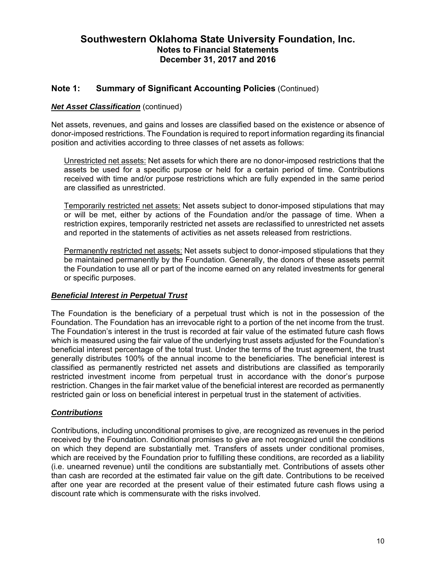### **Note 1: Summary of Significant Accounting Policies** (Continued)

#### *Net Asset Classification* (continued)

Net assets, revenues, and gains and losses are classified based on the existence or absence of donor-imposed restrictions. The Foundation is required to report information regarding its financial position and activities according to three classes of net assets as follows:

Unrestricted net assets: Net assets for which there are no donor-imposed restrictions that the assets be used for a specific purpose or held for a certain period of time. Contributions received with time and/or purpose restrictions which are fully expended in the same period are classified as unrestricted.

Temporarily restricted net assets: Net assets subject to donor-imposed stipulations that may or will be met, either by actions of the Foundation and/or the passage of time. When a restriction expires, temporarily restricted net assets are reclassified to unrestricted net assets and reported in the statements of activities as net assets released from restrictions.

Permanently restricted net assets: Net assets subject to donor-imposed stipulations that they be maintained permanently by the Foundation. Generally, the donors of these assets permit the Foundation to use all or part of the income earned on any related investments for general or specific purposes.

#### *Beneficial Interest in Perpetual Trust*

The Foundation is the beneficiary of a perpetual trust which is not in the possession of the Foundation. The Foundation has an irrevocable right to a portion of the net income from the trust. The Foundation's interest in the trust is recorded at fair value of the estimated future cash flows which is measured using the fair value of the underlying trust assets adjusted for the Foundation's beneficial interest percentage of the total trust. Under the terms of the trust agreement, the trust generally distributes 100% of the annual income to the beneficiaries. The beneficial interest is classified as permanently restricted net assets and distributions are classified as temporarily restricted investment income from perpetual trust in accordance with the donor's purpose restriction. Changes in the fair market value of the beneficial interest are recorded as permanently restricted gain or loss on beneficial interest in perpetual trust in the statement of activities.

#### *Contributions*

Contributions, including unconditional promises to give, are recognized as revenues in the period received by the Foundation. Conditional promises to give are not recognized until the conditions on which they depend are substantially met. Transfers of assets under conditional promises, which are received by the Foundation prior to fulfilling these conditions, are recorded as a liability (i.e. unearned revenue) until the conditions are substantially met. Contributions of assets other than cash are recorded at the estimated fair value on the gift date. Contributions to be received after one year are recorded at the present value of their estimated future cash flows using a discount rate which is commensurate with the risks involved.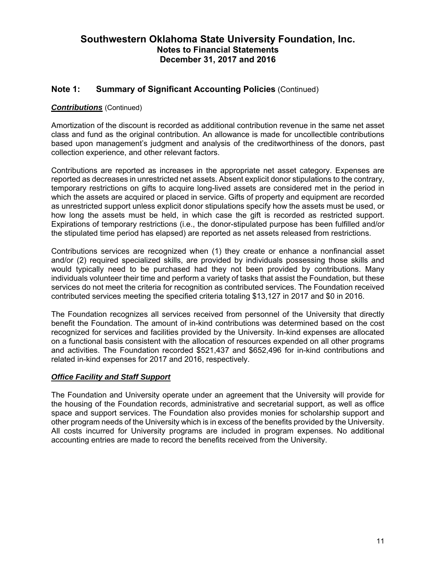# **Note 1: Summary of Significant Accounting Policies** (Continued)

### *Contributions* (Continued)

Amortization of the discount is recorded as additional contribution revenue in the same net asset class and fund as the original contribution. An allowance is made for uncollectible contributions based upon management's judgment and analysis of the creditworthiness of the donors, past collection experience, and other relevant factors.

Contributions are reported as increases in the appropriate net asset category. Expenses are reported as decreases in unrestricted net assets. Absent explicit donor stipulations to the contrary, temporary restrictions on gifts to acquire long-lived assets are considered met in the period in which the assets are acquired or placed in service. Gifts of property and equipment are recorded as unrestricted support unless explicit donor stipulations specify how the assets must be used, or how long the assets must be held, in which case the gift is recorded as restricted support. Expirations of temporary restrictions (i.e., the donor-stipulated purpose has been fulfilled and/or the stipulated time period has elapsed) are reported as net assets released from restrictions.

Contributions services are recognized when (1) they create or enhance a nonfinancial asset and/or (2) required specialized skills, are provided by individuals possessing those skills and would typically need to be purchased had they not been provided by contributions. Many individuals volunteer their time and perform a variety of tasks that assist the Foundation, but these services do not meet the criteria for recognition as contributed services. The Foundation received contributed services meeting the specified criteria totaling \$13,127 in 2017 and \$0 in 2016.

The Foundation recognizes all services received from personnel of the University that directly benefit the Foundation. The amount of in-kind contributions was determined based on the cost recognized for services and facilities provided by the University. In-kind expenses are allocated on a functional basis consistent with the allocation of resources expended on all other programs and activities. The Foundation recorded \$521,437 and \$652,496 for in-kind contributions and related in-kind expenses for 2017 and 2016, respectively.

#### *Office Facility and Staff Support*

The Foundation and University operate under an agreement that the University will provide for the housing of the Foundation records, administrative and secretarial support, as well as office space and support services. The Foundation also provides monies for scholarship support and other program needs of the University which is in excess of the benefits provided by the University. All costs incurred for University programs are included in program expenses. No additional accounting entries are made to record the benefits received from the University.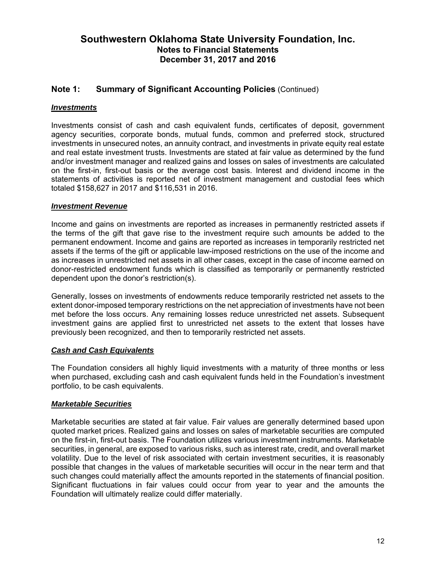# **Note 1: Summary of Significant Accounting Policies** (Continued)

### *Investments*

Investments consist of cash and cash equivalent funds, certificates of deposit, government agency securities, corporate bonds, mutual funds, common and preferred stock, structured investments in unsecured notes, an annuity contract, and investments in private equity real estate and real estate investment trusts. Investments are stated at fair value as determined by the fund and/or investment manager and realized gains and losses on sales of investments are calculated on the first-in, first-out basis or the average cost basis. Interest and dividend income in the statements of activities is reported net of investment management and custodial fees which totaled \$158,627 in 2017 and \$116,531 in 2016.

#### *Investment Revenue*

Income and gains on investments are reported as increases in permanently restricted assets if the terms of the gift that gave rise to the investment require such amounts be added to the permanent endowment. Income and gains are reported as increases in temporarily restricted net assets if the terms of the gift or applicable law-imposed restrictions on the use of the income and as increases in unrestricted net assets in all other cases, except in the case of income earned on donor-restricted endowment funds which is classified as temporarily or permanently restricted dependent upon the donor's restriction(s).

Generally, losses on investments of endowments reduce temporarily restricted net assets to the extent donor-imposed temporary restrictions on the net appreciation of investments have not been met before the loss occurs. Any remaining losses reduce unrestricted net assets. Subsequent investment gains are applied first to unrestricted net assets to the extent that losses have previously been recognized, and then to temporarily restricted net assets.

#### *Cash and Cash Equivalents*

The Foundation considers all highly liquid investments with a maturity of three months or less when purchased, excluding cash and cash equivalent funds held in the Foundation's investment portfolio, to be cash equivalents.

#### *Marketable Securities*

Marketable securities are stated at fair value. Fair values are generally determined based upon quoted market prices. Realized gains and losses on sales of marketable securities are computed on the first-in, first-out basis. The Foundation utilizes various investment instruments. Marketable securities, in general, are exposed to various risks, such as interest rate, credit, and overall market volatility. Due to the level of risk associated with certain investment securities, it is reasonably possible that changes in the values of marketable securities will occur in the near term and that such changes could materially affect the amounts reported in the statements of financial position. Significant fluctuations in fair values could occur from year to year and the amounts the Foundation will ultimately realize could differ materially.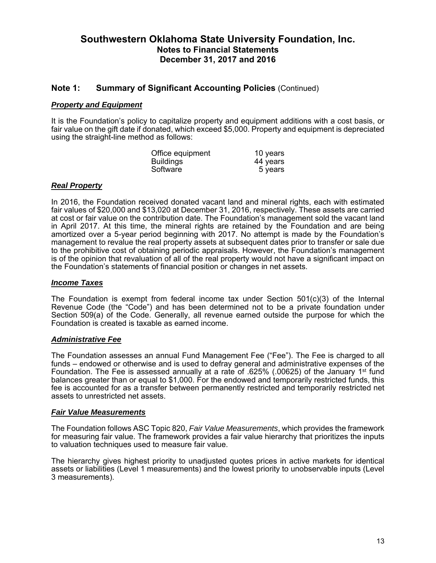### **Note 1: Summary of Significant Accounting Policies** (Continued)

#### *Property and Equipment*

It is the Foundation's policy to capitalize property and equipment additions with a cost basis, or fair value on the gift date if donated, which exceed \$5,000. Property and equipment is depreciated using the straight-line method as follows:

| Office equipment | 10 years |
|------------------|----------|
| <b>Buildings</b> | 44 years |
| Software         | 5 years  |

#### *Real Property*

In 2016, the Foundation received donated vacant land and mineral rights, each with estimated fair values of \$20,000 and \$13,020 at December 31, 2016, respectively. These assets are carried at cost or fair value on the contribution date. The Foundation's management sold the vacant land in April 2017. At this time, the mineral rights are retained by the Foundation and are being amortized over a 5-year period beginning with 2017. No attempt is made by the Foundation's management to revalue the real property assets at subsequent dates prior to transfer or sale due to the prohibitive cost of obtaining periodic appraisals. However, the Foundation's management is of the opinion that revaluation of all of the real property would not have a significant impact on the Foundation's statements of financial position or changes in net assets.

#### *Income Taxes*

The Foundation is exempt from federal income tax under Section  $501(c)(3)$  of the Internal Revenue Code (the "Code") and has been determined not to be a private foundation under Section 509(a) of the Code. Generally, all revenue earned outside the purpose for which the Foundation is created is taxable as earned income.

#### *Administrative Fee*

The Foundation assesses an annual Fund Management Fee ("Fee"). The Fee is charged to all funds – endowed or otherwise and is used to defray general and administrative expenses of the Foundation. The Fee is assessed annually at a rate of .625% (.00625) of the January 1<sup>st</sup> fund balances greater than or equal to \$1,000. For the endowed and temporarily restricted funds, this fee is accounted for as a transfer between permanently restricted and temporarily restricted net assets to unrestricted net assets.

#### *Fair Value Measurements*

The Foundation follows ASC Topic 820, *Fair Value Measurements*, which provides the framework for measuring fair value. The framework provides a fair value hierarchy that prioritizes the inputs to valuation techniques used to measure fair value.

The hierarchy gives highest priority to unadjusted quotes prices in active markets for identical assets or liabilities (Level 1 measurements) and the lowest priority to unobservable inputs (Level 3 measurements).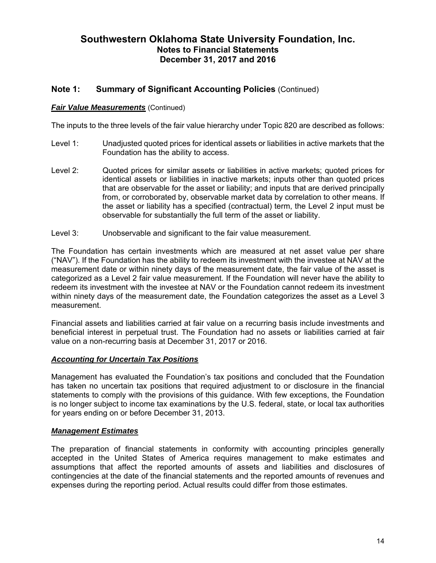### **Note 1: Summary of Significant Accounting Policies** (Continued)

#### *Fair Value Measurements* (Continued)

The inputs to the three levels of the fair value hierarchy under Topic 820 are described as follows:

- Level 1: Unadjusted quoted prices for identical assets or liabilities in active markets that the Foundation has the ability to access.
- Level 2: Quoted prices for similar assets or liabilities in active markets; quoted prices for identical assets or liabilities in inactive markets; inputs other than quoted prices that are observable for the asset or liability; and inputs that are derived principally from, or corroborated by, observable market data by correlation to other means. If the asset or liability has a specified (contractual) term, the Level 2 input must be observable for substantially the full term of the asset or liability.
- Level 3: Unobservable and significant to the fair value measurement.

The Foundation has certain investments which are measured at net asset value per share ("NAV"). If the Foundation has the ability to redeem its investment with the investee at NAV at the measurement date or within ninety days of the measurement date, the fair value of the asset is categorized as a Level 2 fair value measurement. If the Foundation will never have the ability to redeem its investment with the investee at NAV or the Foundation cannot redeem its investment within ninety days of the measurement date, the Foundation categorizes the asset as a Level 3 measurement.

Financial assets and liabilities carried at fair value on a recurring basis include investments and beneficial interest in perpetual trust. The Foundation had no assets or liabilities carried at fair value on a non-recurring basis at December 31, 2017 or 2016.

#### *Accounting for Uncertain Tax Positions*

Management has evaluated the Foundation's tax positions and concluded that the Foundation has taken no uncertain tax positions that required adjustment to or disclosure in the financial statements to comply with the provisions of this guidance. With few exceptions, the Foundation is no longer subject to income tax examinations by the U.S. federal, state, or local tax authorities for years ending on or before December 31, 2013.

#### *Management Estimates*

The preparation of financial statements in conformity with accounting principles generally accepted in the United States of America requires management to make estimates and assumptions that affect the reported amounts of assets and liabilities and disclosures of contingencies at the date of the financial statements and the reported amounts of revenues and expenses during the reporting period. Actual results could differ from those estimates.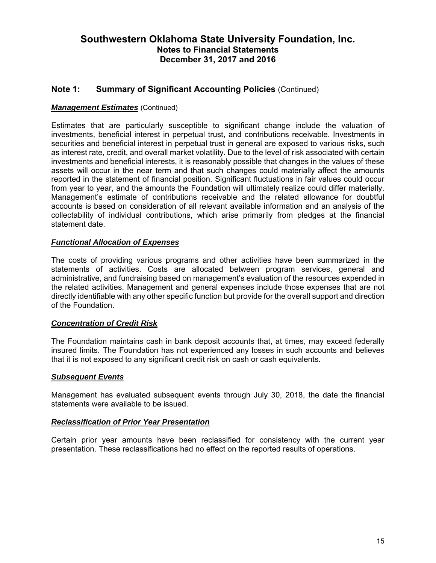# **Note 1: Summary of Significant Accounting Policies** (Continued)

### *Management Estimates* (Continued)

Estimates that are particularly susceptible to significant change include the valuation of investments, beneficial interest in perpetual trust, and contributions receivable. Investments in securities and beneficial interest in perpetual trust in general are exposed to various risks, such as interest rate, credit, and overall market volatility. Due to the level of risk associated with certain investments and beneficial interests, it is reasonably possible that changes in the values of these assets will occur in the near term and that such changes could materially affect the amounts reported in the statement of financial position. Significant fluctuations in fair values could occur from year to year, and the amounts the Foundation will ultimately realize could differ materially. Management's estimate of contributions receivable and the related allowance for doubtful accounts is based on consideration of all relevant available information and an analysis of the collectability of individual contributions, which arise primarily from pledges at the financial statement date.

### *Functional Allocation of Expenses*

The costs of providing various programs and other activities have been summarized in the statements of activities. Costs are allocated between program services, general and administrative, and fundraising based on management's evaluation of the resources expended in the related activities. Management and general expenses include those expenses that are not directly identifiable with any other specific function but provide for the overall support and direction of the Foundation.

#### *Concentration of Credit Risk*

The Foundation maintains cash in bank deposit accounts that, at times, may exceed federally insured limits. The Foundation has not experienced any losses in such accounts and believes that it is not exposed to any significant credit risk on cash or cash equivalents.

#### *Subsequent Events*

Management has evaluated subsequent events through July 30, 2018, the date the financial statements were available to be issued.

#### *Reclassification of Prior Year Presentation*

Certain prior year amounts have been reclassified for consistency with the current year presentation. These reclassifications had no effect on the reported results of operations.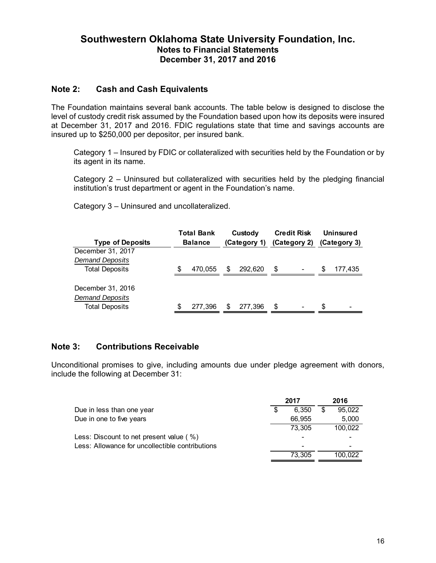### **Note 2: Cash and Cash Equivalents**

The Foundation maintains several bank accounts. The table below is designed to disclose the level of custody credit risk assumed by the Foundation based upon how its deposits were insured at December 31, 2017 and 2016. FDIC regulations state that time and savings accounts are insured up to \$250,000 per depositor, per insured bank.

Category 1 – Insured by FDIC or collateralized with securities held by the Foundation or by its agent in its name.

Category 2 – Uninsured but collateralized with securities held by the pledging financial institution's trust department or agent in the Foundation's name.

Category 3 – Uninsured and uncollateralized.

| <b>Type of Deposits</b> | <b>Total Bank</b><br><b>Balance</b> |         | Custody<br>(Category 1) |         | <b>Credit Risk</b><br>(Category 2) |  | <b>Uninsured</b><br>(Category 3) |         |
|-------------------------|-------------------------------------|---------|-------------------------|---------|------------------------------------|--|----------------------------------|---------|
| December 31, 2017       |                                     |         |                         |         |                                    |  |                                  |         |
| <b>Demand Deposits</b>  |                                     |         |                         |         |                                    |  |                                  |         |
| <b>Total Deposits</b>   | S.                                  | 470.055 | \$                      | 292.620 | S                                  |  | S                                | 177,435 |
| December 31, 2016       |                                     |         |                         |         |                                    |  |                                  |         |
| <b>Demand Deposits</b>  |                                     |         |                         |         |                                    |  |                                  |         |
| <b>Total Deposits</b>   | S.                                  | 277.396 | \$                      | 277.396 | \$                                 |  | S                                | -       |

### **Note 3: Contributions Receivable**

Unconditional promises to give, including amounts due under pledge agreement with donors, include the following at December 31:

|                                                 | 2017        | 2016         |
|-------------------------------------------------|-------------|--------------|
| Due in less than one year                       | \$<br>6.350 | \$<br>95.022 |
| Due in one to five years                        | 66,955      | 5,000        |
|                                                 | 73.305      | 100,022      |
| Less: Discount to net present value ( %)        |             |              |
| Less: Allowance for uncollectible contributions | -           |              |
|                                                 | 73.305      | 100.022      |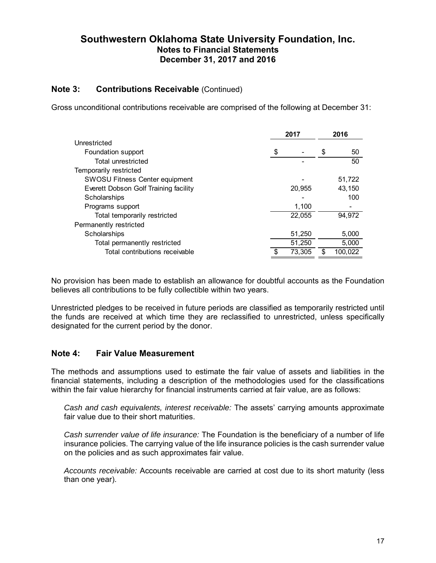### **Note 3: Contributions Receivable** (Continued)

Gross unconditional contributions receivable are comprised of the following at December 31:

|                                       | 2017 |        |    | 2016    |
|---------------------------------------|------|--------|----|---------|
| Unrestricted                          |      |        |    |         |
| Foundation support                    | \$   |        | \$ | 50      |
| <b>Total unrestricted</b>             |      |        |    | 50      |
| Temporarily restricted                |      |        |    |         |
| <b>SWOSU Fitness Center equipment</b> |      |        |    | 51,722  |
| Everett Dobson Golf Training facility |      | 20,955 |    | 43,150  |
| Scholarships                          |      |        |    | 100     |
| Programs support                      |      | 1,100  |    |         |
| Total temporarily restricted          |      | 22,055 |    | 94.972  |
| Permanently restricted                |      |        |    |         |
| Scholarships                          |      | 51,250 |    | 5,000   |
| Total permanently restricted          |      | 51,250 |    | 5,000   |
| Total contributions receivable        |      | 73,305 | S. | 100.022 |

No provision has been made to establish an allowance for doubtful accounts as the Foundation believes all contributions to be fully collectible within two years.

Unrestricted pledges to be received in future periods are classified as temporarily restricted until the funds are received at which time they are reclassified to unrestricted, unless specifically designated for the current period by the donor.

#### **Note 4: Fair Value Measurement**

The methods and assumptions used to estimate the fair value of assets and liabilities in the financial statements, including a description of the methodologies used for the classifications within the fair value hierarchy for financial instruments carried at fair value, are as follows:

*Cash and cash equivalents, interest receivable:* The assets' carrying amounts approximate fair value due to their short maturities.

*Cash surrender value of life insurance:* The Foundation is the beneficiary of a number of life insurance policies. The carrying value of the life insurance policies is the cash surrender value on the policies and as such approximates fair value.

*Accounts receivable:* Accounts receivable are carried at cost due to its short maturity (less than one year).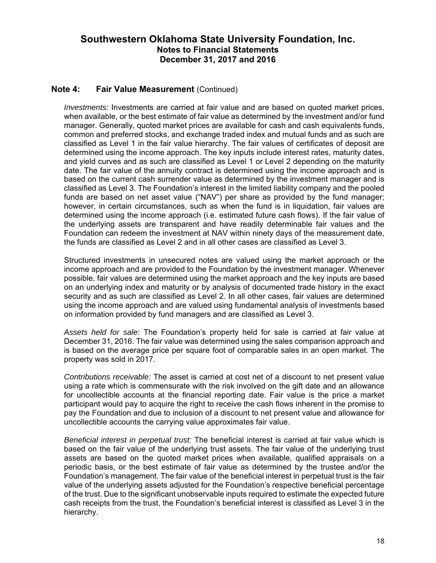### **Note 4: Fair Value Measurement** (Continued)

*Investments:* Investments are carried at fair value and are based on quoted market prices, when available, or the best estimate of fair value as determined by the investment and/or fund manager. Generally, quoted market prices are available for cash and cash equivalents funds, common and preferred stocks, and exchange traded index and mutual funds and as such are classified as Level 1 in the fair value hierarchy. The fair values of certificates of deposit are determined using the income approach. The key inputs include interest rates, maturity dates, and yield curves and as such are classified as Level 1 or Level 2 depending on the maturity date. The fair value of the annuity contract is determined using the income approach and is based on the current cash surrender value as determined by the investment manager and is classified as Level 3. The Foundation's interest in the limited liability company and the pooled funds are based on net asset value ("NAV") per share as provided by the fund manager; however, in certain circumstances, such as when the fund is in liquidation, fair values are determined using the income approach (i.e. estimated future cash flows). If the fair value of the underlying assets are transparent and have readily determinable fair values and the Foundation can redeem the investment at NAV within ninety days of the measurement date, the funds are classified as Level 2 and in all other cases are classified as Level 3.

Structured investments in unsecured notes are valued using the market approach or the income approach and are provided to the Foundation by the investment manager. Whenever possible, fair values are determined using the market approach and the key inputs are based on an underlying index and maturity or by analysis of documented trade history in the exact security and as such are classified as Level 2. In all other cases, fair values are determined using the income approach and are valued using fundamental analysis of investments based on information provided by fund managers and are classified as Level 3.

*Assets held for sale:* The Foundation's property held for sale is carried at fair value at December 31, 2016. The fair value was determined using the sales comparison approach and is based on the average price per square foot of comparable sales in an open market. The property was sold in 2017.

*Contributions receivable:* The asset is carried at cost net of a discount to net present value using a rate which is commensurate with the risk involved on the gift date and an allowance for uncollectible accounts at the financial reporting date. Fair value is the price a market participant would pay to acquire the right to receive the cash flows inherent in the promise to pay the Foundation and due to inclusion of a discount to net present value and allowance for uncollectible accounts the carrying value approximates fair value.

*Beneficial interest in perpetual trust:* The beneficial interest is carried at fair value which is based on the fair value of the underlying trust assets. The fair value of the underlying trust assets are based on the quoted market prices when available, qualified appraisals on a periodic basis, or the best estimate of fair value as determined by the trustee and/or the Foundation's management. The fair value of the beneficial interest in perpetual trust is the fair value of the underlying assets adjusted for the Foundation's respective beneficial percentage of the trust. Due to the significant unobservable inputs required to estimate the expected future cash receipts from the trust, the Foundation's beneficial interest is classified as Level 3 in the hierarchy.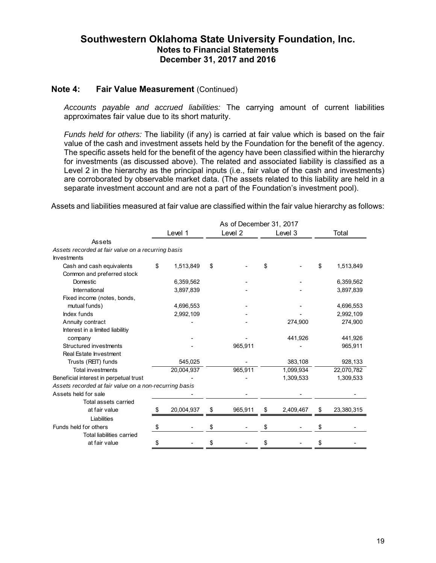#### **Note 4: Fair Value Measurement (Continued)**

*Accounts payable and accrued liabilities:* The carrying amount of current liabilities approximates fair value due to its short maturity.

*Funds held for others:* The liability (if any) is carried at fair value which is based on the fair value of the cash and investment assets held by the Foundation for the benefit of the agency. The specific assets held for the benefit of the agency have been classified within the hierarchy for investments (as discussed above). The related and associated liability is classified as a Level 2 in the hierarchy as the principal inputs (i.e., fair value of the cash and investments) are corroborated by observable market data. (The assets related to this liability are held in a separate investment account and are not a part of the Foundation's investment pool).

Assets and liabilities measured at fair value are classified within the fair value hierarchy as follows:

|                                                        |    |            | As of December 31, 2017 |                 |                  |
|--------------------------------------------------------|----|------------|-------------------------|-----------------|------------------|
|                                                        |    | Level 1    | Level 2                 | Level 3         | Total            |
| Assets                                                 |    |            |                         |                 |                  |
| Assets recorded at fair value on a recurring basis     |    |            |                         |                 |                  |
| <b>Investments</b>                                     |    |            |                         |                 |                  |
| Cash and cash equivalents                              | \$ | 1,513,849  | \$                      | \$              | \$<br>1,513,849  |
| Common and preferred stock                             |    |            |                         |                 |                  |
| Domestic                                               |    | 6,359,562  |                         |                 | 6,359,562        |
| International                                          |    | 3,897,839  |                         |                 | 3,897,839        |
| Fixed income (notes, bonds,                            |    |            |                         |                 |                  |
| mutual funds)                                          |    | 4,696,553  |                         |                 | 4,696,553        |
| Index funds                                            |    | 2,992,109  |                         |                 | 2,992,109        |
| Annuity contract                                       |    |            |                         | 274,900         | 274,900          |
| Interest in a limited liabilitiy                       |    |            |                         |                 |                  |
| company                                                |    |            |                         | 441,926         | 441,926          |
| Structured investments                                 |    |            | 965,911                 |                 | 965,911          |
| Real Estate Investment                                 |    |            |                         |                 |                  |
| Trusts (REIT) funds                                    |    | 545,025    |                         | 383,108         | 928,133          |
| <b>Total investments</b>                               |    | 20,004,937 | 965,911                 | 1,099,934       | 22,070,782       |
| Beneficial interest in perpetual trust                 |    |            |                         | 1,309,533       | 1,309,533        |
| Assets recorded at fair value on a non-recurring basis |    |            |                         |                 |                  |
| Assets held for sale                                   |    |            |                         |                 |                  |
| Total assets carried                                   |    |            |                         |                 |                  |
| at fair value                                          |    | 20,004,937 | \$<br>965,911           | \$<br>2,409,467 | \$<br>23,380,315 |
| Liabilities                                            |    |            |                         |                 |                  |
| Funds held for others                                  | \$ |            | \$                      | \$              | \$               |
| Total liabilities carried                              |    |            |                         |                 |                  |
| at fair value                                          | S  |            | \$                      |                 |                  |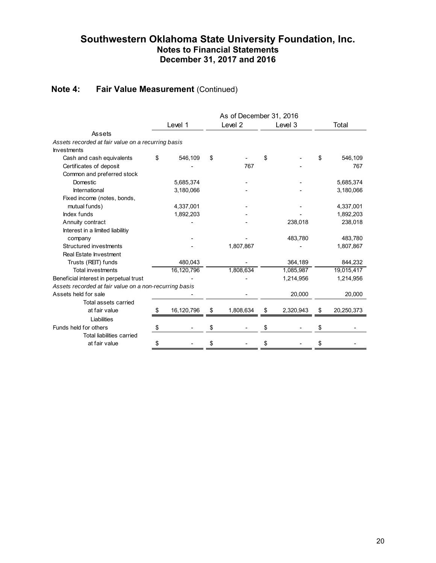# **Note 4:** Fair Value Measurement (Continued)

|                                                        |                  |    | As of December 31, 2016 |    |           |    |            |
|--------------------------------------------------------|------------------|----|-------------------------|----|-----------|----|------------|
|                                                        | Level 1          |    | Level <sub>2</sub>      |    | Level 3   |    | Total      |
| Assets                                                 |                  |    |                         |    |           |    |            |
| Assets recorded at fair value on a recurring basis     |                  |    |                         |    |           |    |            |
| <b>Investments</b>                                     |                  |    |                         |    |           |    |            |
| Cash and cash equivalents                              | \$<br>546,109    | \$ |                         | \$ |           | \$ | 546,109    |
| Certificates of deposit                                |                  |    | 767                     |    |           |    | 767        |
| Common and preferred stock                             |                  |    |                         |    |           |    |            |
| Domestic                                               | 5,685,374        |    |                         |    |           |    | 5,685,374  |
| International                                          | 3,180,066        |    |                         |    |           |    | 3,180,066  |
| Fixed income (notes, bonds,                            |                  |    |                         |    |           |    |            |
| mutual funds)                                          | 4,337,001        |    |                         |    |           |    | 4,337,001  |
| Index funds                                            | 1,892,203        |    |                         |    |           |    | 1,892,203  |
| Annuity contract                                       |                  |    |                         |    | 238,018   |    | 238,018    |
| Interest in a limited liabilitiy                       |                  |    |                         |    |           |    |            |
| company                                                |                  |    |                         |    | 483,780   |    | 483,780    |
| Structured investments                                 |                  |    | 1,807,867               |    |           |    | 1,807,867  |
| Real Estate Investment                                 |                  |    |                         |    |           |    |            |
| Trusts (REIT) funds                                    | 480,043          |    |                         |    | 364,189   |    | 844,232    |
| <b>Total investments</b>                               | 16,120,796       |    | 1,808,634               |    | 1,085,987 |    | 19,015,417 |
| Beneficial interest in perpetual trust                 |                  |    |                         |    | 1,214,956 |    | 1,214,956  |
| Assets recorded at fair value on a non-recurring basis |                  |    |                         |    |           |    |            |
| Assets held for sale                                   |                  |    |                         |    | 20,000    |    | 20,000     |
| Total assets carried                                   |                  |    |                         |    |           |    |            |
| at fair value                                          | \$<br>16,120,796 | \$ | 1,808,634               | \$ | 2,320,943 | \$ | 20,250,373 |
| Liabilities                                            |                  |    |                         |    |           |    |            |
| Funds held for others                                  | \$               | \$ |                         | S  |           | \$ |            |
| <b>Total liabilities carried</b>                       |                  |    |                         |    |           |    |            |
| at fair value                                          | \$               | S  |                         |    |           | S  |            |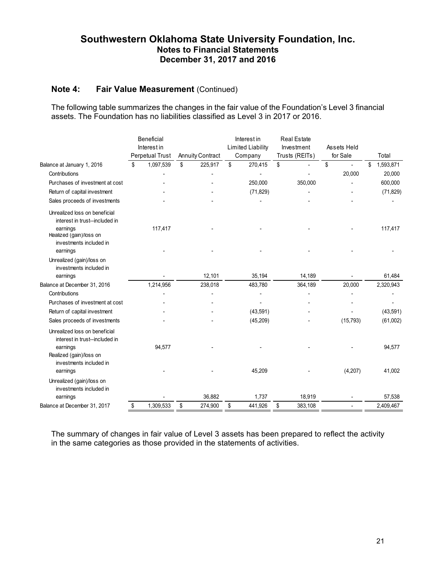### **Note 4: Fair Value Measurement (Continued)**

The following table summarizes the changes in the fair value of the Foundation's Level 3 financial assets. The Foundation has no liabilities classified as Level 3 in 2017 or 2016.

|                                                                             | Beneficial<br>Interest in |                 | Interest in<br><b>Limited Liability</b> |               | <b>Real Estate</b><br>Investment |                | Assets Held |           |                 |
|-----------------------------------------------------------------------------|---------------------------|-----------------|-----------------------------------------|---------------|----------------------------------|----------------|-------------|-----------|-----------------|
|                                                                             |                           | Perpetual Trust | <b>Annuity Contract</b>                 | Company       |                                  | Trusts (REITs) |             | for Sale  | Total           |
| Balance at January 1, 2016                                                  | \$                        | 1,097,539       | \$<br>225,917                           | \$<br>270,415 | \$                               |                | \$          |           | \$<br>1,593,871 |
| Contributions                                                               |                           |                 |                                         |               |                                  |                |             | 20,000    | 20,000          |
| Purchases of investment at cost                                             |                           |                 |                                         | 250,000       |                                  | 350.000        |             |           | 600,000         |
| Return of capital investment                                                |                           |                 |                                         | (71, 829)     |                                  |                |             |           | (71, 829)       |
| Sales proceeds of investments                                               |                           |                 |                                         |               |                                  |                |             |           |                 |
| Unrealized loss on beneficial<br>interest in trust--included in             |                           |                 |                                         |               |                                  |                |             |           |                 |
| earnings<br>Realized (gain)/loss on<br>investments included in              |                           | 117,417         |                                         |               |                                  |                |             |           | 117,417         |
| earnings                                                                    |                           |                 |                                         |               |                                  |                |             |           |                 |
| Unrealized (gain)/loss on                                                   |                           |                 |                                         |               |                                  |                |             |           |                 |
| investments included in                                                     |                           |                 |                                         |               |                                  |                |             |           |                 |
| earnings                                                                    |                           |                 | 12.101                                  | 35,194        |                                  | 14,189         |             |           | 61,484          |
| Balance at December 31, 2016                                                |                           | 1,214,956       | 238,018                                 | 483,780       |                                  | 364,189        |             | 20,000    | 2,320,943       |
| Contributions                                                               |                           |                 |                                         |               |                                  |                |             |           |                 |
| Purchases of investment at cost                                             |                           |                 |                                         |               |                                  |                |             |           |                 |
| Return of capital investment                                                |                           |                 |                                         | (43,591)      |                                  |                |             |           | (43,591)        |
| Sales proceeds of investments                                               |                           |                 |                                         | (45, 209)     |                                  |                |             | (15, 793) | (61,002)        |
| Unrealized loss on beneficial<br>interest in trust--included in<br>earnings |                           | 94,577          |                                         |               |                                  |                |             |           | 94,577          |
| Realized (gain)/loss on<br>investments included in                          |                           |                 |                                         |               |                                  |                |             |           |                 |
| earnings                                                                    |                           |                 |                                         | 45,209        |                                  |                |             | (4, 207)  | 41,002          |
| Unrealized (gain)/loss on<br>investments included in                        |                           |                 |                                         |               |                                  |                |             |           |                 |
| earnings                                                                    |                           |                 | 36,882                                  | 1,737         |                                  | 18,919         |             |           | 57,538          |
| Balance at December 31, 2017                                                | \$                        | 1,309,533       | \$<br>274,900                           | \$<br>441,926 | \$                               | 383,108        |             |           | 2,409,467       |

The summary of changes in fair value of Level 3 assets has been prepared to reflect the activity in the same categories as those provided in the statements of activities.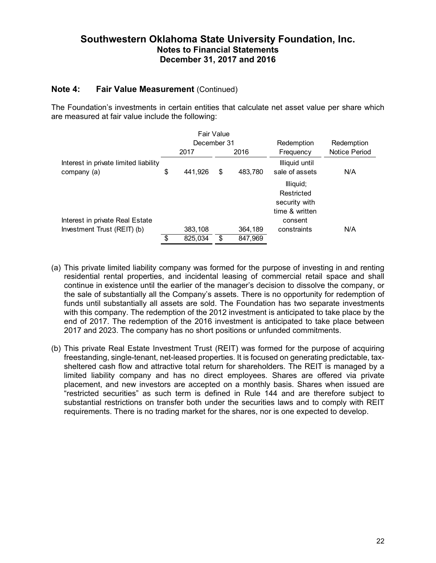### **Note 4: Fair Value Measurement** (Continued)

The Foundation's investments in certain entities that calculate net asset value per share which are measured at fair value include the following:

|                                                      |             |         | Fair Value |         |                                                            |               |
|------------------------------------------------------|-------------|---------|------------|---------|------------------------------------------------------------|---------------|
|                                                      | December 31 |         |            |         | Redemption                                                 | Redemption    |
|                                                      |             | 2017    | 2016       |         | Frequency                                                  | Notice Period |
| Interest in private limited liability<br>company (a) | \$          | 441,926 | \$         | 483,780 | Illiquid until<br>sale of assets                           | N/A           |
|                                                      |             |         |            |         | Illiquid;<br>Restricted<br>security with<br>time & written |               |
| Interest in private Real Estate                      |             |         |            |         | consent                                                    |               |
| Investment Trust (REIT) (b)                          |             | 383,108 |            | 364,189 | constraints                                                | N/A           |
|                                                      | \$          | 825,034 | \$         | 847,969 |                                                            |               |

- (a) This private limited liability company was formed for the purpose of investing in and renting residential rental properties, and incidental leasing of commercial retail space and shall continue in existence until the earlier of the manager's decision to dissolve the company, or the sale of substantially all the Company's assets. There is no opportunity for redemption of funds until substantially all assets are sold. The Foundation has two separate investments with this company. The redemption of the 2012 investment is anticipated to take place by the end of 2017. The redemption of the 2016 investment is anticipated to take place between 2017 and 2023. The company has no short positions or unfunded commitments.
- (b) This private Real Estate Investment Trust (REIT) was formed for the purpose of acquiring freestanding, single-tenant, net-leased properties. It is focused on generating predictable, taxsheltered cash flow and attractive total return for shareholders. The REIT is managed by a limited liability company and has no direct employees. Shares are offered via private placement, and new investors are accepted on a monthly basis. Shares when issued are "restricted securities" as such term is defined in Rule 144 and are therefore subject to substantial restrictions on transfer both under the securities laws and to comply with REIT requirements. There is no trading market for the shares, nor is one expected to develop.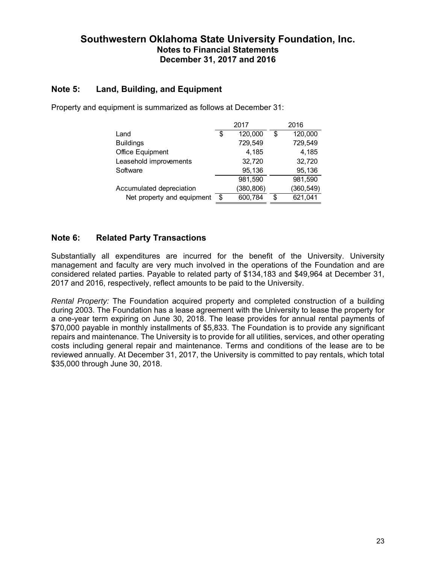### **Note 5: Land, Building, and Equipment**

|                            |     | 2017       | 2016          |
|----------------------------|-----|------------|---------------|
| Land                       | \$  | 120,000    | \$<br>120,000 |
| <b>Buildings</b>           |     | 729,549    | 729,549       |
| Office Equipment           |     | 4,185      | 4,185         |
| Leasehold improvements     |     | 32,720     | 32,720        |
| Software                   |     | 95,136     | 95,136        |
|                            |     | 981,590    | 981,590       |
| Accumulated depreciation   |     | (380, 806) | (360, 549)    |
| Net property and equipment | -\$ | 600,784    | \$<br>621,041 |

Property and equipment is summarized as follows at December 31:

# **Note 6: Related Party Transactions**

Substantially all expenditures are incurred for the benefit of the University. University management and faculty are very much involved in the operations of the Foundation and are considered related parties. Payable to related party of \$134,183 and \$49,964 at December 31, 2017 and 2016, respectively, reflect amounts to be paid to the University.

*Rental Property:* The Foundation acquired property and completed construction of a building during 2003. The Foundation has a lease agreement with the University to lease the property for a one-year term expiring on June 30, 2018. The lease provides for annual rental payments of \$70,000 payable in monthly installments of \$5,833. The Foundation is to provide any significant repairs and maintenance. The University is to provide for all utilities, services, and other operating costs including general repair and maintenance. Terms and conditions of the lease are to be reviewed annually. At December 31, 2017, the University is committed to pay rentals, which total \$35,000 through June 30, 2018.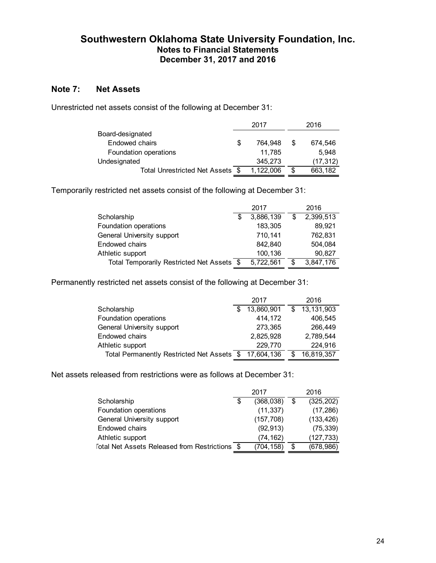# **Note 7: Net Assets**

Unrestricted net assets consist of the following at December 31:

|                                  |   | 2017      |   | 2016      |
|----------------------------------|---|-----------|---|-----------|
| Board-designated                 |   |           |   |           |
| Endowed chairs                   | S | 764.948   | S | 674,546   |
| Foundation operations            |   | 11.785    |   | 5.948     |
| Undesignated                     |   | 345.273   |   | (17, 312) |
| Total Unrestricted Net Assets \$ |   | 1,122,006 | S | 663,182   |

Temporarily restricted net assets consist of the following at December 31:

|                                            |   | 2017      |   | 2016      |
|--------------------------------------------|---|-----------|---|-----------|
| Scholarship                                | S | 3,886,139 | S | 2,399,513 |
| Foundation operations                      |   | 183,305   |   | 89,921    |
| General University support                 |   | 710,141   |   | 762,831   |
| Endowed chairs                             |   | 842,840   |   | 504,084   |
| Athletic support                           |   | 100,136   |   | 90,827    |
| Total Temporarily Restricted Net Assets \$ |   | 5,722,561 | S | 3,847,176 |

Permanently restricted net assets consist of the following at December 31:

|                                            |     | 2017       | 2016             |
|--------------------------------------------|-----|------------|------------------|
| Scholarship                                | \$. | 13,860,901 | \$<br>13,131,903 |
| Foundation operations                      |     | 414,172    | 406.545          |
| General University support                 |     | 273,365    | 266,449          |
| Endowed chairs                             |     | 2,825,928  | 2,789,544        |
| Athletic support                           |     | 229,770    | 224,916          |
| Total Permanently Restricted Net Assets \$ |     | 17.604.136 | 16,819,357       |

Net assets released from restrictions were as follows at December 31:

|                                                | 2017             |    | 2016       |
|------------------------------------------------|------------------|----|------------|
| Scholarship                                    | \$<br>(368, 038) | S  | (325, 202) |
| Foundation operations                          | (11, 337)        |    | (17, 286)  |
| General University support                     | (157, 708)       |    | (133, 426) |
| Endowed chairs                                 | (92, 913)        |    | (75, 339)  |
| Athletic support                               | (74, 162)        |    | (127, 733) |
| Total Net Assets Released from Restrictions \$ | (704, 158)       | \$ | (678, 986) |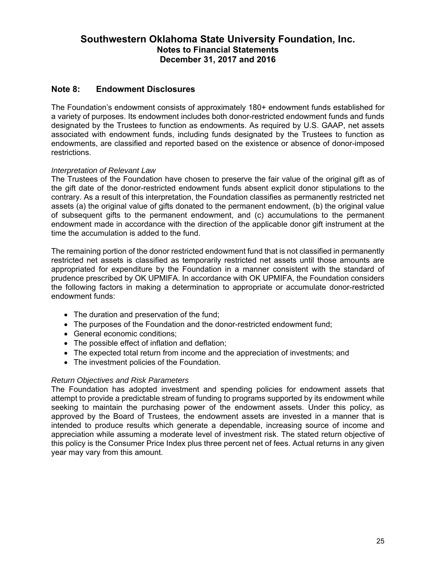### **Note 8: Endowment Disclosures**

The Foundation's endowment consists of approximately 180+ endowment funds established for a variety of purposes. Its endowment includes both donor-restricted endowment funds and funds designated by the Trustees to function as endowments. As required by U.S. GAAP, net assets associated with endowment funds, including funds designated by the Trustees to function as endowments, are classified and reported based on the existence or absence of donor-imposed restrictions.

#### *Interpretation of Relevant Law*

The Trustees of the Foundation have chosen to preserve the fair value of the original gift as of the gift date of the donor-restricted endowment funds absent explicit donor stipulations to the contrary. As a result of this interpretation, the Foundation classifies as permanently restricted net assets (a) the original value of gifts donated to the permanent endowment, (b) the original value of subsequent gifts to the permanent endowment, and (c) accumulations to the permanent endowment made in accordance with the direction of the applicable donor gift instrument at the time the accumulation is added to the fund.

The remaining portion of the donor restricted endowment fund that is not classified in permanently restricted net assets is classified as temporarily restricted net assets until those amounts are appropriated for expenditure by the Foundation in a manner consistent with the standard of prudence prescribed by OK UPMIFA. In accordance with OK UPMIFA, the Foundation considers the following factors in making a determination to appropriate or accumulate donor-restricted endowment funds:

- The duration and preservation of the fund;
- The purposes of the Foundation and the donor-restricted endowment fund;
- General economic conditions:
- The possible effect of inflation and deflation;
- The expected total return from income and the appreciation of investments; and
- The investment policies of the Foundation.

#### *Return Objectives and Risk Parameters*

The Foundation has adopted investment and spending policies for endowment assets that attempt to provide a predictable stream of funding to programs supported by its endowment while seeking to maintain the purchasing power of the endowment assets. Under this policy, as approved by the Board of Trustees, the endowment assets are invested in a manner that is intended to produce results which generate a dependable, increasing source of income and appreciation while assuming a moderate level of investment risk. The stated return objective of this policy is the Consumer Price Index plus three percent net of fees. Actual returns in any given year may vary from this amount.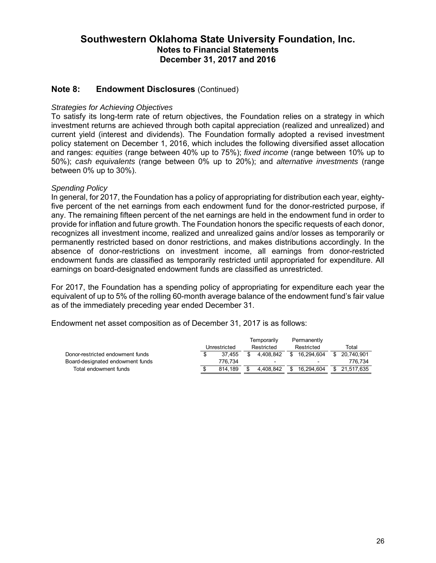### **Note 8: Endowment Disclosures** (Continued)

#### *Strategies for Achieving Objectives*

To satisfy its long-term rate of return objectives, the Foundation relies on a strategy in which investment returns are achieved through both capital appreciation (realized and unrealized) and current yield (interest and dividends). The Foundation formally adopted a revised investment policy statement on December 1, 2016, which includes the following diversified asset allocation and ranges: *equities* (range between 40% up to 75%); *fixed income* (range between 10% up to 50%); *cash equivalents* (range between 0% up to 20%); and *alternative investments* (range between 0% up to 30%).

#### *Spending Policy*

In general, for 2017, the Foundation has a policy of appropriating for distribution each year, eightyfive percent of the net earnings from each endowment fund for the donor-restricted purpose, if any. The remaining fifteen percent of the net earnings are held in the endowment fund in order to provide for inflation and future growth. The Foundation honors the specific requests of each donor, recognizes all investment income, realized and unrealized gains and/or losses as temporarily or permanently restricted based on donor restrictions, and makes distributions accordingly. In the absence of donor-restrictions on investment income, all earnings from donor-restricted endowment funds are classified as temporarily restricted until appropriated for expenditure. All earnings on board-designated endowment funds are classified as unrestricted.

For 2017, the Foundation has a spending policy of appropriating for expenditure each year the equivalent of up to 5% of the rolling 60-month average balance of the endowment fund's fair value as of the immediately preceding year ended December 31.

Endowment net asset composition as of December 31, 2017 is as follows:

|                                  | Temporarily  |    |                          | Permanently |                             |  |               |
|----------------------------------|--------------|----|--------------------------|-------------|-----------------------------|--|---------------|
|                                  | Unrestricted |    | Restricted               |             | Restricted                  |  | Total         |
| Donor-restricted endowment funds | 37.455       | S. | 4.408.842                |             | \$16.294.604                |  | \$ 20.740.901 |
| Board-designated endowment funds | 776.734      |    | $\overline{\phantom{0}}$ |             | $\sim$                      |  | 776.734       |
| Total endowment funds            | 814.189      |    | 4.408.842                |             | \$ 16,294,604 \$ 21,517,635 |  |               |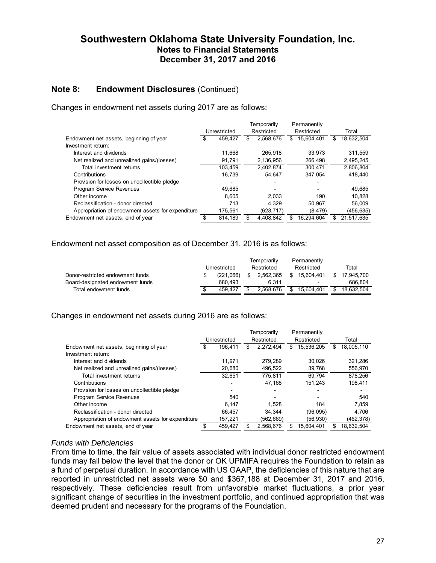### **Note 8: Endowment Disclosures (Continued)**

Changes in endowment net assets during 2017 are as follows:

|                                                   |              | Temporarily |            | Permanently |            |     |            |
|---------------------------------------------------|--------------|-------------|------------|-------------|------------|-----|------------|
|                                                   | Unrestricted |             | Restricted |             | Restricted |     | Total      |
| Endowment net assets, beginning of year           | 459.427      | \$          | 2,568,676  | S           | 15,604,401 | \$. | 18,632,504 |
| Investment return:                                |              |             |            |             |            |     |            |
| Interest and dividends                            | 11.668       |             | 265.918    |             | 33.973     |     | 311,559    |
| Net realized and unrealized gains/(losses)        | 91,791       |             | 2.136.956  |             | 266,498    |     | 2.495.245  |
| Total investment returns                          | 103.459      |             | 2,402,874  |             | 300.471    |     | 2,806,804  |
| Contributions                                     | 16.739       |             | 54.647     |             | 347.054    |     | 418.440    |
| Provision for losses on uncollectible pledge      |              |             |            |             |            |     |            |
| <b>Program Service Revenues</b>                   | 49.685       |             |            |             |            |     | 49,685     |
| Other income                                      | 8.605        |             | 2.033      |             | 190        |     | 10.828     |
| Reclassification - donor directed                 | 713          |             | 4.329      |             | 50.967     |     | 56,009     |
| Appropriation of endowment assets for expenditure | 175,561      |             | (623, 717) |             | (8, 479)   |     | (456, 635) |
| Endowment net assets, end of year                 | 814.189      |             | 4.408.842  |             | 16.294.604 |     | 21.517.635 |

#### Endowment net asset composition as of December 31, 2016 is as follows:

|                                  | Unrestricted |           | Temporarily<br>Restricted |           | Permanently<br>Restricted | Total            |
|----------------------------------|--------------|-----------|---------------------------|-----------|---------------------------|------------------|
| Donor-restricted endowment funds |              | (221.066) |                           | 2.562.365 | \$<br>15.604.401          | \$<br>17.945.700 |
| Board-designated endowment funds |              | 680.493   |                           | 6.311     | -                         | 686.804          |
| Total endowment funds            | S            | 459.427   |                           | 2.568.676 | 15.604.401                | \$<br>18.632.504 |

#### Changes in endowment net assets during 2016 are as follows:

|                                                   |              |         | Temporarily |            |     | Permanently |   |            |
|---------------------------------------------------|--------------|---------|-------------|------------|-----|-------------|---|------------|
|                                                   | Unrestricted |         |             | Restricted |     | Restricted  |   | Total      |
| Endowment net assets, beginning of year           |              | 196.411 | S           | 2,272,494  | S   | 15,536,205  | S | 18,005,110 |
| Investment return:                                |              |         |             |            |     |             |   |            |
| Interest and dividends                            |              | 11.971  |             | 279.289    |     | 30.026      |   | 321,286    |
| Net realized and unrealized gains/(losses)        |              | 20.680  |             | 496.522    |     | 39,768      |   | 556,970    |
| Total investment returns                          |              | 32.651  |             | 775.811    |     | 69.794      |   | 878.256    |
| Contributions                                     |              |         |             | 47.168     |     | 151.243     |   | 198.411    |
| Provision for losses on uncollectible pledge      |              |         |             |            |     |             |   |            |
| <b>Program Service Revenues</b>                   |              | 540     |             |            |     |             |   | 540        |
| Other income                                      |              | 6.147   |             | 1.528      |     | 184         |   | 7.859      |
| Reclassification - donor directed                 |              | 66.457  |             | 34.344     |     | (96,095)    |   | 4.706      |
| Appropriation of endowment assets for expenditure |              | 157.221 |             | (562,669)  |     | (56, 930)   |   | (462, 378) |
| Endowment net assets, end of year                 |              | 459.427 |             | 2.568.676  | \$. | 15.604.401  |   | 18.632.504 |

#### *Funds with Deficiencies*

From time to time, the fair value of assets associated with individual donor restricted endowment funds may fall below the level that the donor or OK UPMIFA requires the Foundation to retain as a fund of perpetual duration. In accordance with US GAAP, the deficiencies of this nature that are reported in unrestricted net assets were \$0 and \$367,188 at December 31, 2017 and 2016, respectively. These deficiencies result from unfavorable market fluctuations, a prior year significant change of securities in the investment portfolio, and continued appropriation that was deemed prudent and necessary for the programs of the Foundation.